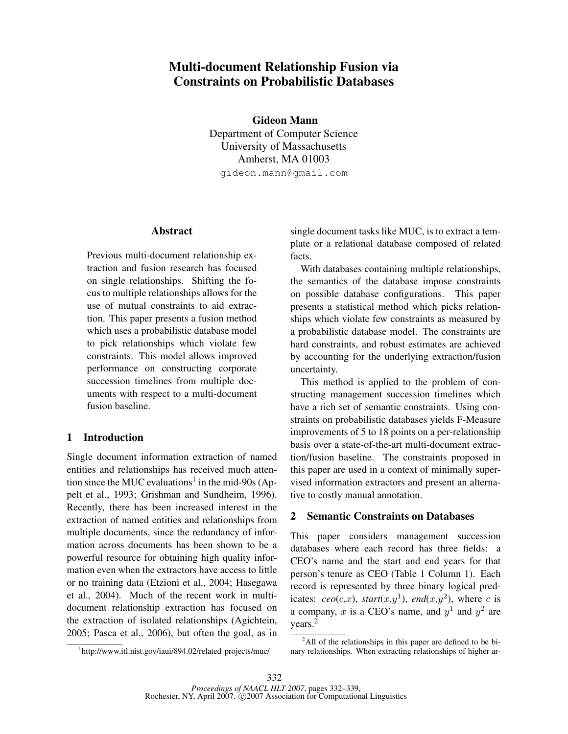# Multi-document Relationship Fusion via Constraints on Probabilistic Databases

Gideon Mann Department of Computer Science University of Massachusetts Amherst, MA 01003 gideon.mann@gmail.com

### Abstract

Previous multi-document relationship extraction and fusion research has focused on single relationships. Shifting the focus to multiple relationships allows for the use of mutual constraints to aid extraction. This paper presents a fusion method which uses a probabilistic database model to pick relationships which violate few constraints. This model allows improved performance on constructing corporate succession timelines from multiple documents with respect to a multi-document fusion baseline.

## 1 Introduction

Single document information extraction of named entities and relationships has received much attention since the MUC evaluations<sup>1</sup> in the mid-90s (Appelt et al., 1993; Grishman and Sundheim, 1996). Recently, there has been increased interest in the extraction of named entities and relationships from multiple documents, since the redundancy of information across documents has been shown to be a powerful resource for obtaining high quality information even when the extractors have access to little or no training data (Etzioni et al., 2004; Hasegawa et al., 2004). Much of the recent work in multidocument relationship extraction has focused on the extraction of isolated relationships (Agichtein, 2005; Pasca et al., 2006), but often the goal, as in single document tasks like MUC, is to extract a template or a relational database composed of related facts.

With databases containing multiple relationships, the semantics of the database impose constraints on possible database configurations. This paper presents a statistical method which picks relationships which violate few constraints as measured by a probabilistic database model. The constraints are hard constraints, and robust estimates are achieved by accounting for the underlying extraction/fusion uncertainty.

This method is applied to the problem of constructing management succession timelines which have a rich set of semantic constraints. Using constraints on probabilistic databases yields F-Measure improvements of 5 to 18 points on a per-relationship basis over a state-of-the-art multi-document extraction/fusion baseline. The constraints proposed in this paper are used in a context of minimally supervised information extractors and present an alternative to costly manual annotation.

# 2 Semantic Constraints on Databases

This paper considers management succession databases where each record has three fields: a CEO's name and the start and end years for that person's tenure as CEO (Table 1 Column 1). Each record is represented by three binary logical predicates:  $ceo(c,x)$ ,  $start(x,y<sup>1</sup>)$ ,  $end(x,y<sup>2</sup>)$ , where c is a company, x is a CEO's name, and  $y^1$  and  $y^2$  are years.<sup>2</sup>

<sup>&</sup>lt;sup>1</sup>http://www.itl.nist.gov/iaui/894.02/related\_projects/muc/

 $2$ All of the relationships in this paper are defined to be binary relationships. When extracting relationships of higher ar-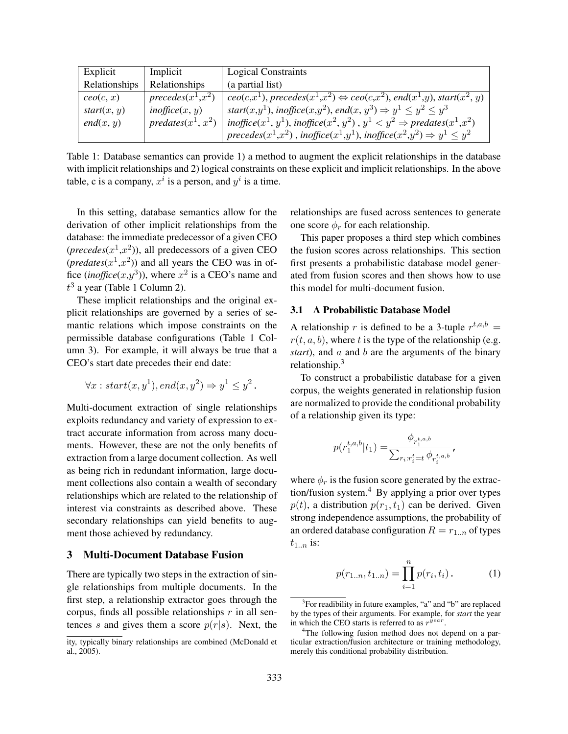| Explicit      | Implicit                                        | <b>Logical Constraints</b>                                                                                                                                                      |
|---------------|-------------------------------------------------|---------------------------------------------------------------------------------------------------------------------------------------------------------------------------------|
| Relationships | Relationships                                   | (a partial list)                                                                                                                                                                |
| ceo(c, x)     | precedes $(x^1,\overline{x^2)}$                 | $\overline{ceo(c,x^1)}$ , precedes $(x^1,x^2) \Leftrightarrow ceo(c,x^2)$ , end $(x^1,y)$ , start $(x^2,y)$                                                                     |
| start(x, y)   | $in \mathit{onf} \mathit{f} \mathit{ice}(x, y)$ | start $(x,y^1)$ , inoffice $(x,y^2)$ , end $(x, y^3) \Rightarrow y^1 \le y^2 \le y^3$                                                                                           |
| end(x, y)     | predates $(x^1, x^2)$                           | inoffice(x <sup>1</sup> , y <sup>1</sup> ), inoffice(x <sup>2</sup> , y <sup>2</sup> ), y <sup>1</sup> < y <sup>2</sup> $\Rightarrow$ predates(x <sup>1</sup> ,x <sup>2</sup> ) |
|               |                                                 | $precedes(x^1,x^2)$ , inoffice $(x^1,y^1)$ , inoffice $(x^2,y^2) \Rightarrow y^1 \leq y^2$                                                                                      |

Table 1: Database semantics can provide 1) a method to augment the explicit relationships in the database with implicit relationships and 2) logical constraints on these explicit and implicit relationships. In the above table, c is a company,  $x^i$  is a person, and  $y^i$  is a time.

In this setting, database semantics allow for the derivation of other implicit relationships from the database: the immediate predecessor of a given CEO  $(precedes(x^1, x^2))$ , all predecessors of a given CEO  $(predates(x<sup>1</sup>, x<sup>2</sup>)$  and all years the CEO was in office  $(inoffice(x, y^3))$ , where  $x^2$  is a CEO's name and  $t^3$  a year (Table 1 Column 2).

These implicit relationships and the original explicit relationships are governed by a series of semantic relations which impose constraints on the permissible database configurations (Table 1 Column 3). For example, it will always be true that a CEO's start date precedes their end date:

$$
\forall x: start(x, y^1), end(x, y^2) \Rightarrow y^1 \le y^2.
$$

Multi-document extraction of single relationships exploits redundancy and variety of expression to extract accurate information from across many documents. However, these are not the only benefits of extraction from a large document collection. As well as being rich in redundant information, large document collections also contain a wealth of secondary relationships which are related to the relationship of interest via constraints as described above. These secondary relationships can yield benefits to augment those achieved by redundancy.

### 3 Multi-Document Database Fusion

There are typically two steps in the extraction of single relationships from multiple documents. In the first step, a relationship extractor goes through the corpus, finds all possible relationships  $r$  in all sentences s and gives them a score  $p(r|s)$ . Next, the relationships are fused across sentences to generate one score  $\phi_r$  for each relationship.

This paper proposes a third step which combines the fusion scores across relationships. This section first presents a probabilistic database model generated from fusion scores and then shows how to use this model for multi-document fusion.

### 3.1 A Probabilistic Database Model

A relationship r is defined to be a 3-tuple  $r^{t,a,b}$  =  $r(t, a, b)$ , where t is the type of the relationship (e.g. *start*), and a and b are the arguments of the binary relationship.<sup>3</sup>

To construct a probabilistic database for a given corpus, the weights generated in relationship fusion are normalized to provide the conditional probability of a relationship given its type:

$$
p(r_1^{t,a,b}|t_1) = \frac{\phi_{r_1^{t,a,b}}}{\sum_{r_i:r_i^t=t} \phi_{r_i^{t,a,b}}},
$$

where  $\phi_r$  is the fusion score generated by the extraction/fusion system.<sup>4</sup> By applying a prior over types  $p(t)$ , a distribution  $p(r_1, t_1)$  can be derived. Given strong independence assumptions, the probability of an ordered database configuration  $R = r_{1..n}$  of types  $t_{1..n}$  is:

$$
p(r_{1..n}, t_{1..n}) = \prod_{i=1}^{n} p(r_i, t_i).
$$
 (1)

ity, typically binary relationships are combined (McDonald et al., 2005).

<sup>&</sup>lt;sup>3</sup>For readibility in future examples, "a" and "b" are replaced by the types of their arguments. For example, for *start* the year in which the CEO starts is referred to as  $r^{\hat{y}ear}$ .

<sup>&</sup>lt;sup>4</sup>The following fusion method does not depend on a particular extraction/fusion architecture or training methodology, merely this conditional probability distribution.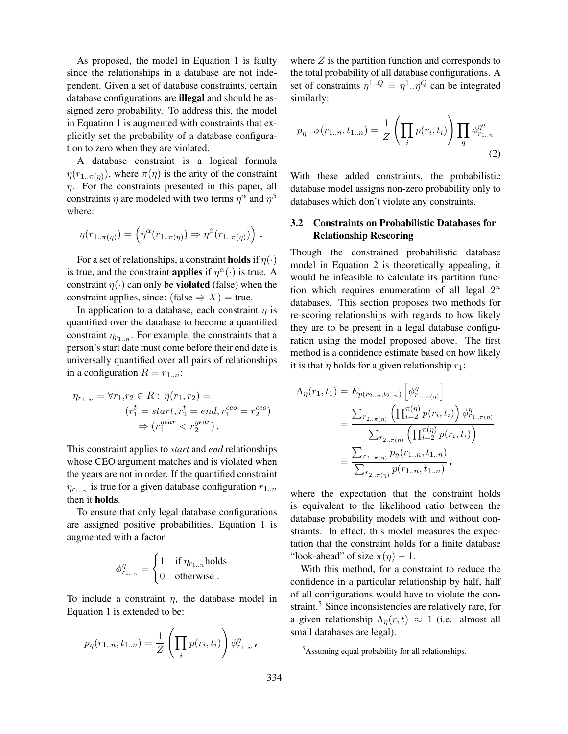As proposed, the model in Equation 1 is faulty since the relationships in a database are not independent. Given a set of database constraints, certain database configurations are illegal and should be assigned zero probability. To address this, the model in Equation 1 is augmented with constraints that explicitly set the probability of a database configuration to zero when they are violated.

A database constraint is a logical formula  $\eta(r_{1..\pi(\eta)})$ , where  $\pi(\eta)$  is the arity of the constraint  $\eta$ . For the constraints presented in this paper, all constraints  $\eta$  are modeled with two terms  $\eta^{\alpha}$  and  $\eta^{\beta}$ where:

$$
\eta(r_{1..\pi(\eta)}) = \left(\eta^{\alpha}(r_{1..\pi(\eta)}) \Rightarrow \eta^{\beta}(r_{1..\pi(\eta)})\right).
$$

For a set of relationships, a constraint **holds** if  $\eta(\cdot)$ is true, and the constraint **applies** if  $\eta^{\alpha}(\cdot)$  is true. A constraint  $\eta(\cdot)$  can only be **violated** (false) when the constraint applies, since: (false  $\Rightarrow$  X) = true.

In application to a database, each constraint  $\eta$  is quantified over the database to become a quantified constraint  $\eta_{r_{1..n}}$ . For example, the constraints that a person's start date must come before their end date is universally quantified over all pairs of relationships in a configuration  $R = r_{1..n}$ :

$$
\eta_{r_{1..n}} = \forall r_1, r_2 \in R : \eta(r_1, r_2) =
$$

$$
(r_1^t = start, r_2^t = end, r_1^{ceo} = r_2^{ceo})
$$

$$
\Rightarrow (r_1^{year} < r_2^{year}).
$$

This constraint applies to *start* and *end* relationships whose CEO argument matches and is violated when the years are not in order. If the quantified constraint  $\eta_{r_{1..n}}$  is true for a given database configuration  $r_{1..n}$ then it holds.

To ensure that only legal database configurations are assigned positive probabilities, Equation 1 is augmented with a factor

$$
\phi_{r_{1..n}}^{\eta} = \begin{cases} 1 & \text{if } \eta_{r_{1..n}} \text{holds} \\ 0 & \text{otherwise} \end{cases}
$$

To include a constraint  $\eta$ , the database model in Equation 1 is extended to be:

$$
p_{\eta}(r_{1..n}, t_{1..n}) = \frac{1}{Z} \left( \prod_i p(r_i, t_i) \right) \phi_{r_{1..n}}^{\eta},
$$

where  $Z$  is the partition function and corresponds to the total probability of all database configurations. A set of constraints  $\eta^{1..Q} = \eta^1..\eta^Q$  can be integrated similarly:

$$
p_{\eta^{1..Q}}(r_{1..n}, t_{1..n}) = \frac{1}{Z} \left( \prod_i p(r_i, t_i) \right) \prod_q \phi_{r_{1..n}}^{\eta^q}
$$
\n(2)

With these added constraints, the probabilistic database model assigns non-zero probability only to databases which don't violate any constraints.

# 3.2 Constraints on Probabilistic Databases for Relationship Rescoring

Though the constrained probabilistic database model in Equation 2 is theoretically appealing, it would be infeasible to calculate its partition function which requires enumeration of all legal  $2^n$ databases. This section proposes two methods for re-scoring relationships with regards to how likely they are to be present in a legal database configuration using the model proposed above. The first method is a confidence estimate based on how likely it is that  $\eta$  holds for a given relationship  $r_1$ :

$$
\Lambda_{\eta}(r_{1},t_{1}) = E_{p(r_{2..n},t_{2..n})}\left[\phi_{r_{1..\pi(\eta)}}^{\eta}\right]
$$

$$
= \frac{\sum_{r_{2..\pi(\eta)}} \left(\prod_{i=2}^{\pi(\eta)} p(r_{i},t_{i})\right) \phi_{r_{1..\pi(\eta)}}^{\eta}}{\sum_{r_{2..\pi(\eta)}} \left(\prod_{i=2}^{\pi(\eta)} p(r_{i},t_{i})\right)}
$$

$$
= \frac{\sum_{r_{2..\pi(\eta)}} p_{\eta}(r_{1..n},t_{1..n})}{\sum_{r_{2..\pi(\eta)}} p(r_{1..n},t_{1..n})},
$$

where the expectation that the constraint holds is equivalent to the likelihood ratio between the database probability models with and without constraints. In effect, this model measures the expectation that the constraint holds for a finite database "look-ahead" of size  $\pi(\eta) - 1$ .

With this method, for a constraint to reduce the confidence in a particular relationship by half, half of all configurations would have to violate the constraint.<sup>5</sup> Since inconsistencies are relatively rare, for a given relationship  $\Lambda_n(r, t) \approx 1$  (i.e. almost all small databases are legal).

<sup>5</sup>Assuming equal probability for all relationships.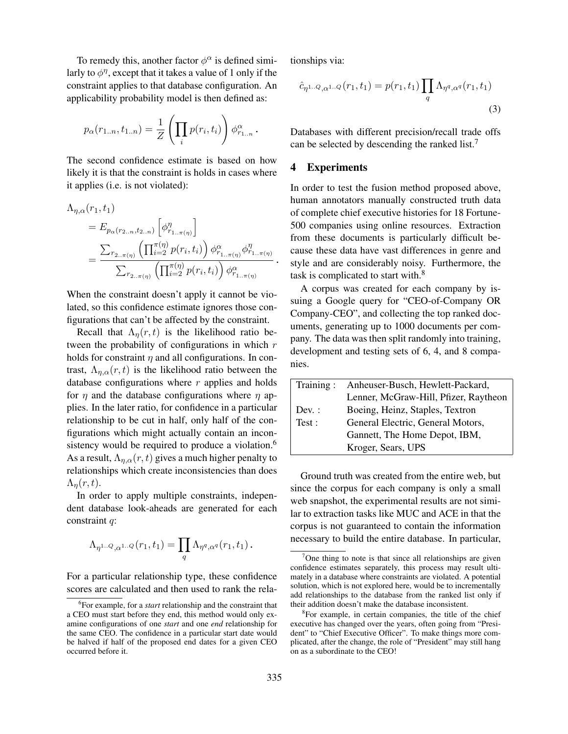To remedy this, another factor  $\phi^{\alpha}$  is defined similarly to  $\phi^{\eta}$ , except that it takes a value of 1 only if the constraint applies to that database configuration. An applicability probability model is then defined as:

$$
p_{\alpha}(r_{1..n}, t_{1..n}) = \frac{1}{Z} \left( \prod_{i} p(r_i, t_i) \right) \phi_{r_{1..n}}^{\alpha}.
$$

The second confidence estimate is based on how likely it is that the constraint is holds in cases where it applies (i.e. is not violated):

$$
\Lambda_{\eta,\alpha}(r_1, t_1) = E_{p_{\alpha}(r_{2..n}, t_{2..n})} \left[ \phi_{r_{1..\pi(\eta)}}^{\eta} \right]
$$
  
= 
$$
\frac{\sum_{r_{2..\pi(\eta)}} \left( \prod_{i=2}^{\pi(\eta)} p(r_i, t_i) \right) \phi_{r_{1..\pi(\eta)}}^{\alpha} \phi_{r_{1..\pi(\eta)}}^{\eta}}{\sum_{r_{2..\pi(\eta)}} \left( \prod_{i=2}^{\pi(\eta)} p(r_i, t_i) \right) \phi_{r_{1..\pi(\eta)}}^{\alpha}}.
$$

When the constraint doesn't apply it cannot be violated, so this confidence estimate ignores those configurations that can't be affected by the constraint.

Recall that  $\Lambda_{\eta}(r,t)$  is the likelihood ratio between the probability of configurations in which  $r$ holds for constraint  $\eta$  and all configurations. In contrast,  $\Lambda_{\eta,\alpha}(r,t)$  is the likelihood ratio between the database configurations where  $r$  applies and holds for  $\eta$  and the database configurations where  $\eta$  applies. In the later ratio, for confidence in a particular relationship to be cut in half, only half of the configurations which might actually contain an inconsistency would be required to produce a violation.<sup>6</sup> As a result,  $\Lambda_{\eta,\alpha}(r,t)$  gives a much higher penalty to relationships which create inconsistencies than does  $\Lambda_n(r,t)$ .

In order to apply multiple constraints, independent database look-aheads are generated for each constraint q:

$$
\Lambda_{\eta^{1..Q},\alpha^{1..Q}}(r_1,t_1)=\prod_q\Lambda_{\eta^q,\alpha^q}(r_1,t_1)\,.
$$

For a particular relationship type, these confidence scores are calculated and then used to rank the relationships via:

$$
\hat{c}_{\eta^{1..Q},\alpha^{1..Q}}(r_1,t_1) = p(r_1,t_1) \prod_q \Lambda_{\eta^q,\alpha^q}(r_1,t_1)
$$
\n(3)

Databases with different precision/recall trade offs can be selected by descending the ranked list.<sup>7</sup>

# 4 Experiments

In order to test the fusion method proposed above, human annotators manually constructed truth data of complete chief executive histories for 18 Fortune-500 companies using online resources. Extraction from these documents is particularly difficult because these data have vast differences in genre and style and are considerably noisy. Furthermore, the task is complicated to start with.<sup>8</sup>

A corpus was created for each company by issuing a Google query for "CEO-of-Company OR Company-CEO", and collecting the top ranked documents, generating up to 1000 documents per company. The data was then split randomly into training, development and testing sets of 6, 4, and 8 companies.

| Training: | Anheuser-Busch, Hewlett-Packard,      |  |  |
|-----------|---------------------------------------|--|--|
|           | Lenner, McGraw-Hill, Pfizer, Raytheon |  |  |
| $Dev.$ :  | Boeing, Heinz, Staples, Textron       |  |  |
| Test:     | General Electric, General Motors,     |  |  |
|           | Gannett, The Home Depot, IBM,         |  |  |
|           | Kroger, Sears, UPS                    |  |  |

Ground truth was created from the entire web, but since the corpus for each company is only a small web snapshot, the experimental results are not similar to extraction tasks like MUC and ACE in that the corpus is not guaranteed to contain the information necessary to build the entire database. In particular,

<sup>6</sup> For example, for a *start* relationship and the constraint that a CEO must start before they end, this method would only examine configurations of one *start* and one *end* relationship for the same CEO. The confidence in a particular start date would be halved if half of the proposed end dates for a given CEO occurred before it.

 $7$ One thing to note is that since all relationships are given confidence estimates separately, this process may result ultimately in a database where constraints are violated. A potential solution, which is not explored here, would be to incrementally add relationships to the database from the ranked list only if their addition doesn't make the database inconsistent.

<sup>&</sup>lt;sup>8</sup>For example, in certain companies, the title of the chief executive has changed over the years, often going from "President" to "Chief Executive Officer". To make things more complicated, after the change, the role of "President" may still hang on as a subordinate to the CEO!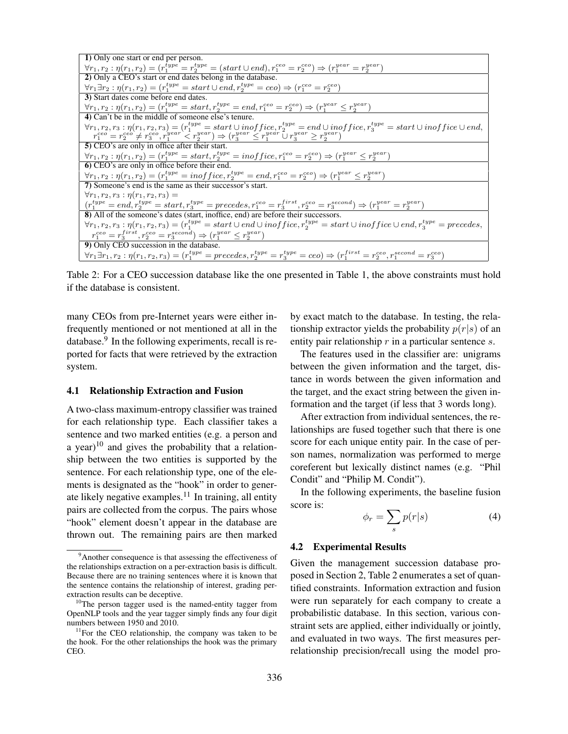| 1) Only one start or end per person.                                                                                                                                                                  |  |  |  |  |  |
|-------------------------------------------------------------------------------------------------------------------------------------------------------------------------------------------------------|--|--|--|--|--|
| $\forall r_1, r_2 : \eta(r_1, r_2) = (r_1^{type} = r_2^{type} = (start \cup end), r_1^{ceo} = r_2^{ceo}) \Rightarrow (r_1^{year} = r_2^{year})$                                                       |  |  |  |  |  |
| 2) Only a CEO's start or end dates belong in the database.                                                                                                                                            |  |  |  |  |  |
| $\forall r_1 \exists r_2 : \eta(r_1, r_2) = (r_1^{type} = start \cup end, r_2^{type} = ceo) \Rightarrow (r_1^{ceo} = r_2^{ceo})$                                                                      |  |  |  |  |  |
| 3) Start dates come before end dates.                                                                                                                                                                 |  |  |  |  |  |
| $\forall r_1, r_2 : \eta(r_1, r_2) = (r_1^{type} = start, r_2^{type} = end, r_1^{ceo} = r_2^{ceo}) \Rightarrow (r_1^{year} \leq r_2^{year})$                                                          |  |  |  |  |  |
| 4) Can't be in the middle of someone else's tenure.                                                                                                                                                   |  |  |  |  |  |
| $\forall r_1, r_2, r_3 : \eta(r_1, r_2, r_3) = (r_1^{type} = start \cup inof \, \mathit{free}, r_2^{type} = end \cup inoff \, \mathit{free}, r_3^{type} = start \cup inoff \, \mathit{ice} \cup end,$ |  |  |  |  |  |
| $r_1^{ceo} = r_2^{ceo} \neq r_3^{ceo}, r_1^{year} < r_2^{year}$ ) $\Rightarrow (r_3^{year} \leq r_1^{year} \cup r_3^{year} \geq r_2^{year})$                                                          |  |  |  |  |  |
| 5) CEO's are only in office after their start.                                                                                                                                                        |  |  |  |  |  |
| $\forall r_1, r_2 : \eta(r_1, r_2) = (r_1^{type} = start, r_2^{type} = inoffice, r_1^{ceo} = r_2^{ceo}) \Rightarrow (r_1^{year} \leq r_2^{year})$                                                     |  |  |  |  |  |
| 6) CEO's are only in office before their end.                                                                                                                                                         |  |  |  |  |  |
| $\forall r_1, r_2 : \eta(r_1, r_2) = (r_1^{type} = inof\,, r_2^{type} = end, r_1^{ceo} = r_2^{ceo}) \Rightarrow (r_1^{year} \leq r_2^{year})$                                                         |  |  |  |  |  |
| 7) Someone's end is the same as their successor's start.                                                                                                                                              |  |  |  |  |  |
| $\forall r_1, r_2, r_3 : \eta(r_1, r_2, r_3) =$                                                                                                                                                       |  |  |  |  |  |
| $(r_1^{type}=end, r_2^{type}=start, r_3^{type}=precedes, r_1^{ceo}=r_3^{first}, r_2^{ceo}=r_3^{second}) \Rightarrow (r_1^{year}=r_2^{seor})$                                                          |  |  |  |  |  |
| 8) All of the someone's dates (start, inoffice, end) are before their successors.                                                                                                                     |  |  |  |  |  |
| $\forall r_1, r_2, r_3 : \eta(r_1, r_2, r_3) = (r_1^{type} = start \cup end \cup in office, r_2^{type} = start \cup in office \cup end, r_3^{type} = precedes,$                                       |  |  |  |  |  |
| $r_1^{ceo} = r_3^{first}, r_2^{ceo} = r_3^{second} \Rightarrow (r_1^{year} \leq r_2^{year})$                                                                                                          |  |  |  |  |  |
| 9) Only CEO succession in the database.                                                                                                                                                               |  |  |  |  |  |
| $\forall r_1 \exists r_1, r_2 : \eta(r_1, r_2, r_3) = (r_1^{type} = precedes, r_2^{type} = r_3^{type} = ceo) \Rightarrow (r_1^{first} = r_2^{ceo}, r_1^{second} = r_3^{ceo})$                         |  |  |  |  |  |

Table 2: For a CEO succession database like the one presented in Table 1, the above constraints must hold if the database is consistent.

many CEOs from pre-Internet years were either infrequently mentioned or not mentioned at all in the database.<sup>9</sup> In the following experiments, recall is reported for facts that were retrieved by the extraction system.

#### 4.1 Relationship Extraction and Fusion

A two-class maximum-entropy classifier was trained for each relationship type. Each classifier takes a sentence and two marked entities (e.g. a person and a year)<sup>10</sup> and gives the probability that a relationship between the two entities is supported by the sentence. For each relationship type, one of the elements is designated as the "hook" in order to generate likely negative examples.<sup>11</sup> In training, all entity pairs are collected from the corpus. The pairs whose "hook" element doesn't appear in the database are thrown out. The remaining pairs are then marked by exact match to the database. In testing, the relationship extractor yields the probability  $p(r|s)$  of an entity pair relationship  $r$  in a particular sentence  $s$ .

The features used in the classifier are: unigrams between the given information and the target, distance in words between the given information and the target, and the exact string between the given information and the target (if less that 3 words long).

After extraction from individual sentences, the relationships are fused together such that there is one score for each unique entity pair. In the case of person names, normalization was performed to merge coreferent but lexically distinct names (e.g. "Phil Condit" and "Philip M. Condit").

In the following experiments, the baseline fusion score is:

$$
\phi_r = \sum_s p(r|s) \tag{4}
$$

#### 4.2 Experimental Results

Given the management succession database proposed in Section 2, Table 2 enumerates a set of quantified constraints. Information extraction and fusion were run separately for each company to create a probabilistic database. In this section, various constraint sets are applied, either individually or jointly, and evaluated in two ways. The first measures perrelationship precision/recall using the model pro-

<sup>&</sup>lt;sup>9</sup>Another consequence is that assessing the effectiveness of the relationships extraction on a per-extraction basis is difficult. Because there are no training sentences where it is known that the sentence contains the relationship of interest, grading perextraction results can be deceptive.

 $10$ The person tagger used is the named-entity tagger from OpenNLP tools and the year tagger simply finds any four digit numbers between 1950 and 2010.

 $11$ For the CEO relationship, the company was taken to be the hook. For the other relationships the hook was the primary CEO.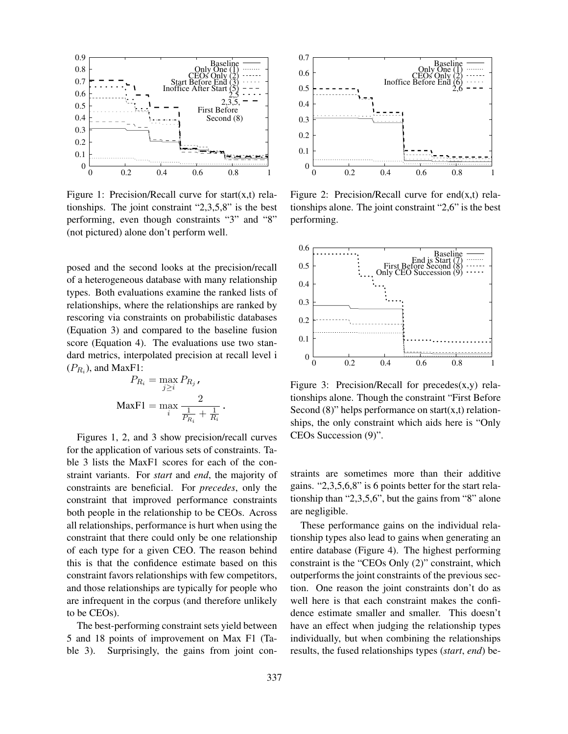

Figure 1: Precision/Recall curve for start $(x,t)$  relationships. The joint constraint "2,3,5,8" is the best performing, even though constraints "3" and "8" (not pictured) alone don't perform well.

posed and the second looks at the precision/recall of a heterogeneous database with many relationship types. Both evaluations examine the ranked lists of relationships, where the relationships are ranked by rescoring via constraints on probabilistic databases (Equation 3) and compared to the baseline fusion score (Equation 4). The evaluations use two standard metrics, interpolated precision at recall level i  $(P_{R_i})$ , and MaxF1:

$$
P_{R_i} = \max_{j \geq i} P_{R_j},
$$

$$
\text{MaxF1} = \max_{i} \frac{2}{\frac{1}{P_{R_i}} + \frac{1}{R_i}}.
$$

Figures 1, 2, and 3 show precision/recall curves for the application of various sets of constraints. Table 3 lists the MaxF1 scores for each of the constraint variants. For *start* and *end*, the majority of constraints are beneficial. For *precedes*, only the constraint that improved performance constraints both people in the relationship to be CEOs. Across all relationships, performance is hurt when using the constraint that there could only be one relationship of each type for a given CEO. The reason behind this is that the confidence estimate based on this constraint favors relationships with few competitors, and those relationships are typically for people who are infrequent in the corpus (and therefore unlikely to be CEOs).

The best-performing constraint sets yield between 5 and 18 points of improvement on Max F1 (Table 3). Surprisingly, the gains from joint con-



Figure 2: Precision/Recall curve for end $(x,t)$  relationships alone. The joint constraint "2,6" is the best performing.



Figure 3: Precision/Recall for precedes $(x,y)$  relationships alone. Though the constraint "First Before Second  $(8)$ " helps performance on start $(x,t)$  relationships, the only constraint which aids here is "Only CEOs Succession (9)".

straints are sometimes more than their additive gains. "2,3,5,6,8" is 6 points better for the start relationship than "2,3,5,6", but the gains from "8" alone are negligible.

These performance gains on the individual relationship types also lead to gains when generating an entire database (Figure 4). The highest performing constraint is the "CEOs Only (2)" constraint, which outperforms the joint constraints of the previous section. One reason the joint constraints don't do as well here is that each constraint makes the confidence estimate smaller and smaller. This doesn't have an effect when judging the relationship types individually, but when combining the relationships results, the fused relationships types (*start*, *end*) be-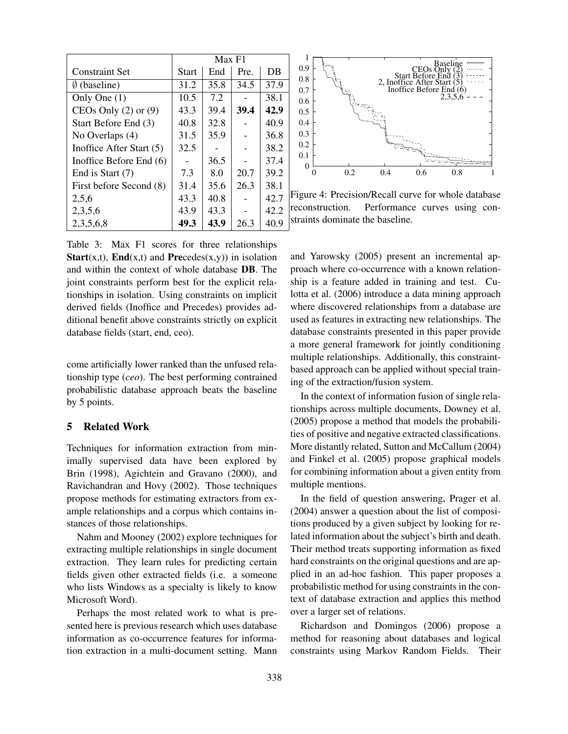|                           | Max F1       |      |      |      |
|---------------------------|--------------|------|------|------|
| <b>Constraint Set</b>     | <b>Start</b> | End  | Pre. | DB   |
| $\emptyset$ (baseline)    | 31.2         | 35.8 | 34.5 | 37.9 |
| Only One $(1)$            | 10.5         | 7.2  |      | 38.1 |
| CEOs Only $(2)$ or $(9)$  | 43.3         | 39.4 | 39.4 | 42.9 |
| Start Before End (3)      | 40.8         | 32.8 |      | 40.9 |
| No Overlaps (4)           | 31.5         | 35.9 |      | 36.8 |
| Inoffice After Start (5)  | 32.5         |      |      | 38.2 |
| Inoffice Before End $(6)$ |              | 36.5 |      | 37.4 |
| End is Start (7)          | 7.3          | 8.0  | 20.7 | 39.2 |
| First before Second (8)   | 31.4         | 35.6 | 26.3 | 38.1 |
| 2,5,6                     | 43.3         | 40.8 |      | 42.7 |
| 2,3,5,6                   | 43.9         | 43.3 |      | 42.2 |
| 2,3,5,6,8                 | 49.3         | 43.9 | 26.3 | 40.9 |

Table 3: Max F1 scores for three relationships **Start**(x,t), **End**(x,t) and **Precedes**(x,y)) in isolation and within the context of whole database DB. The joint constraints perform best for the explicit relationships in isolation. Using constraints on implicit derived fields (Inoffice and Precedes) provides additional benefit above constraints strictly on explicit database fields (start, end, ceo).

come artificially lower ranked than the unfused relationship type (*ceo*). The best performing contrained probabilistic database approach beats the baseline by 5 points.

# 5 Related Work

Techniques for information extraction from minimally supervised data have been explored by Brin (1998), Agichtein and Gravano (2000), and Ravichandran and Hovy (2002). Those techniques propose methods for estimating extractors from example relationships and a corpus which contains instances of those relationships.

Nahm and Mooney (2002) explore techniques for extracting multiple relationships in single document extraction. They learn rules for predicting certain fields given other extracted fields (i.e. a someone who lists Windows as a specialty is likely to know Microsoft Word).

Perhaps the most related work to what is presented here is previous research which uses database information as co-occurrence features for information extraction in a multi-document setting. Mann



Figure 4: Precision/Recall curve for whole database reconstruction. Performance curves using constraints dominate the baseline.

and Yarowsky (2005) present an incremental approach where co-occurrence with a known relationship is a feature added in training and test. Culotta et al. (2006) introduce a data mining approach where discovered relationships from a database are used as features in extracting new relationships. The database constraints presented in this paper provide a more general framework for jointly conditioning multiple relationships. Additionally, this constraintbased approach can be applied without special training of the extraction/fusion system.

In the context of information fusion of single relationships across multiple documents, Downey et al. (2005) propose a method that models the probabilities of positive and negative extracted classifications. More distantly related, Sutton and McCallum (2004) and Finkel et al. (2005) propose graphical models for combining information about a given entity from multiple mentions.

In the field of question answering, Prager et al. (2004) answer a question about the list of compositions produced by a given subject by looking for related information about the subject's birth and death. Their method treats supporting information as fixed hard constraints on the original questions and are applied in an ad-hoc fashion. This paper proposes a probabilistic method for using constraints in the context of database extraction and applies this method over a larger set of relations.

Richardson and Domingos (2006) propose a method for reasoning about databases and logical constraints using Markov Random Fields. Their